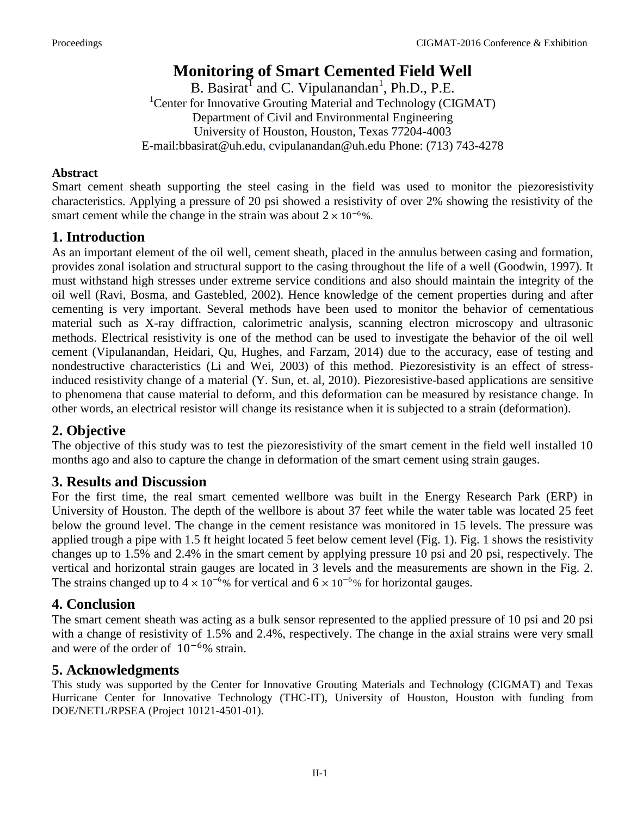# **Monitoring of Smart Cemented Field Well**

B. Basirat<sup>1</sup> and C. Vipulanandan<sup>1</sup>, Ph.D., P.E. <sup>1</sup>Center for Innovative Grouting Material and Technology (CIGMAT) Department of Civil and Environmental Engineering University of Houston, Houston, Texas 77204-4003 E-mail:bbasirat@uh.edu, cvipulanandan@uh.edu Phone: (713) 743-4278

#### **Abstract**

Smart cement sheath supporting the steel casing in the field was used to monitor the piezoresistivity characteristics. Applying a pressure of 20 psi showed a resistivity of over 2% showing the resistivity of the smart cement while the change in the strain was about  $2 \times 10^{-6}$ %.

## **1. Introduction**

As an important element of the oil well, cement sheath, placed in the annulus between casing and formation, provides zonal isolation and structural support to the casing throughout the life of a well (Goodwin, 1997). It must withstand high stresses under extreme service conditions and also should maintain the integrity of the oil well (Ravi, Bosma, and Gastebled, 2002). Hence knowledge of the cement properties during and after cementing is very important. Several methods have been used to monitor the behavior of cementatious material such as X-ray diffraction, calorimetric analysis, scanning electron microscopy and ultrasonic methods. Electrical resistivity is one of the method can be used to investigate the behavior of the oil well cement (Vipulanandan, Heidari, Qu, Hughes, and Farzam, 2014) due to the accuracy, ease of testing and nondestructive characteristics (Li and Wei, 2003) of this method. Piezoresistivity is an effect of stressinduced resistivity change of a material (Y. Sun, et. al, 2010). Piezoresistive-based applications are sensitive to phenomena that cause material to deform, and this deformation can be measured by resistance change. In other words, an electrical resistor will change its resistance when it is subjected to a strain (deformation).

## **2. Objective**

The objective of this study was to test the piezoresistivity of the smart cement in the field well installed 10 months ago and also to capture the change in deformation of the smart cement using strain gauges.

### **3. Results and Discussion**

For the first time, the real smart cemented wellbore was built in the Energy Research Park (ERP) in University of Houston. The depth of the wellbore is about 37 feet while the water table was located 25 feet below the ground level. The change in the cement resistance was monitored in 15 levels. The pressure was applied trough a pipe with 1.5 ft height located 5 feet below cement level (Fig. 1). Fig. 1 shows the resistivity changes up to 1.5% and 2.4% in the smart cement by applying pressure 10 psi and 20 psi, respectively. The vertical and horizontal strain gauges are located in 3 levels and the measurements are shown in the Fig. 2. The strains changed up to  $4 \times 10^{-6}$ % for vertical and  $6 \times 10^{-6}$ % for horizontal gauges.

### **4. Conclusion**

The smart cement sheath was acting as a bulk sensor represented to the applied pressure of 10 psi and 20 psi with a change of resistivity of 1.5% and 2.4%, respectively. The change in the axial strains were very small and were of the order of 10−6% strain.

### **5. Acknowledgments**

This study was supported by the Center for Innovative Grouting Materials and Technology (CIGMAT) and Texas Hurricane Center for Innovative Technology (THC-IT), University of Houston, Houston with funding from DOE/NETL/RPSEA (Project 10121-4501-01).